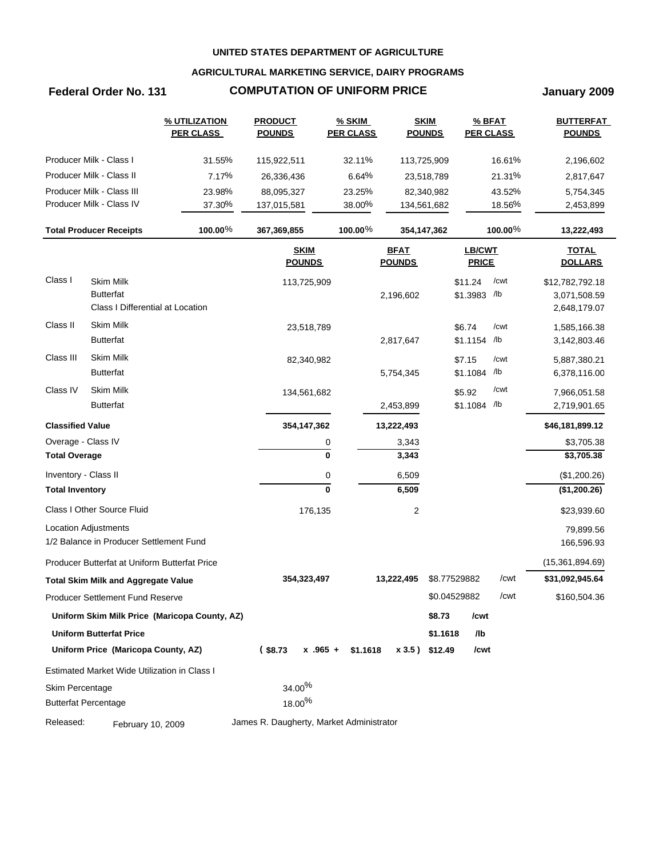## **AGRICULTURAL MARKETING SERVICE, DAIRY PROGRAMS**

# **Federal Order No. 131 COMPUTATION OF UNIFORM PRICE January 2009**

|                         |                                               | % UTILIZATION<br><b>PER CLASS</b>             | <b>PRODUCT</b><br><b>POUNDS</b> | % SKIM<br><b>PER CLASS</b> |                              | <b>SKIM</b><br><b>POUNDS</b> | % BFAT<br><b>PER CLASS</b> |            | <b>BUTTERFAT</b><br><b>POUNDS</b> |
|-------------------------|-----------------------------------------------|-----------------------------------------------|---------------------------------|----------------------------|------------------------------|------------------------------|----------------------------|------------|-----------------------------------|
|                         | Producer Milk - Class I                       | 31.55%                                        | 115,922,511                     | 32.11%                     | 113,725,909                  |                              |                            | 16.61%     | 2,196,602                         |
|                         | Producer Milk - Class II                      | 7.17%                                         | 26,336,436                      | 6.64%                      |                              | 23,518,789                   |                            | 21.31%     | 2,817,647                         |
|                         | Producer Milk - Class III                     | 23.98%                                        | 88,095,327                      | 23.25%                     |                              | 82,340,982                   |                            | 43.52%     | 5,754,345                         |
|                         | Producer Milk - Class IV                      | 37.30%                                        | 137,015,581                     | 38.00%                     | 134,561,682                  |                              |                            | 18.56%     | 2,453,899                         |
|                         | <b>Total Producer Receipts</b>                | 100.00%                                       | 367,369,855                     | 100.00 $%$                 | 354,147,362                  |                              |                            | 100.00 $%$ | 13,222,493                        |
|                         |                                               |                                               | <b>SKIM</b><br><b>POUNDS</b>    |                            | <b>BFAT</b><br><b>POUNDS</b> |                              | LB/CWT<br><b>PRICE</b>     |            | <b>TOTAL</b><br><b>DOLLARS</b>    |
| Class I                 | <b>Skim Milk</b>                              |                                               | 113,725,909                     |                            |                              |                              | \$11.24                    | /cwt       | \$12,782,792.18                   |
|                         | <b>Butterfat</b>                              |                                               |                                 |                            | 2,196,602                    |                              | \$1.3983 /lb               |            | 3,071,508.59                      |
|                         | Class I Differential at Location              |                                               |                                 |                            |                              |                              |                            |            | 2,648,179.07                      |
| Class II                | <b>Skim Milk</b>                              |                                               | 23,518,789                      |                            |                              |                              | \$6.74                     | /cwt       | 1,585,166.38                      |
|                         | <b>Butterfat</b>                              |                                               |                                 |                            | 2,817,647                    |                              | \$1.1154 /lb               |            | 3,142,803.46                      |
| Class III               | <b>Skim Milk</b>                              |                                               | 82,340,982                      |                            |                              |                              | \$7.15                     | /cwt       | 5,887,380.21                      |
|                         | <b>Butterfat</b>                              |                                               |                                 |                            | 5,754,345                    |                              | \$1.1084 /lb               |            | 6,378,116.00                      |
| Class IV                | <b>Skim Milk</b>                              |                                               | 134,561,682                     |                            |                              |                              | \$5.92                     | /cwt       | 7,966,051.58                      |
|                         | <b>Butterfat</b>                              |                                               |                                 |                            | 2,453,899                    |                              | \$1.1084 /lb               |            | 2,719,901.65                      |
| <b>Classified Value</b> |                                               |                                               | 354, 147, 362                   |                            | 13,222,493                   |                              |                            |            | \$46,181,899.12                   |
|                         | Overage - Class IV                            |                                               |                                 | 0                          | 3,343                        |                              |                            |            | \$3,705.38                        |
| <b>Total Overage</b>    |                                               |                                               |                                 | $\mathbf 0$                | 3,343                        |                              |                            |            | \$3,705.38                        |
| Inventory - Class II    |                                               |                                               |                                 | 0                          | 6,509                        |                              |                            |            | (\$1,200.26)                      |
| <b>Total Inventory</b>  |                                               |                                               |                                 | $\mathbf 0$                | 6,509                        |                              |                            |            | (\$1,200.26)                      |
|                         | Class I Other Source Fluid                    |                                               | 176,135                         |                            | $\overline{2}$               |                              |                            |            | \$23,939.60                       |
|                         | <b>Location Adjustments</b>                   |                                               |                                 |                            |                              |                              |                            |            | 79,899.56                         |
|                         | 1/2 Balance in Producer Settlement Fund       |                                               |                                 |                            |                              |                              |                            |            | 166,596.93                        |
|                         | Producer Butterfat at Uniform Butterfat Price |                                               |                                 |                            |                              |                              |                            |            | (15,361,894.69)                   |
|                         | <b>Total Skim Milk and Aggregate Value</b>    |                                               | 354,323,497                     |                            | 13,222,495                   | \$8.77529882                 |                            | /cwt       | \$31,092,945.64                   |
|                         | Producer Settlement Fund Reserve              |                                               |                                 |                            |                              | \$0.04529882                 |                            | /cwt       | \$160,504.36                      |
|                         |                                               | Uniform Skim Milk Price (Maricopa County, AZ) |                                 |                            |                              | \$8.73                       | /cwt                       |            |                                   |
|                         | <b>Uniform Butterfat Price</b>                |                                               |                                 |                            |                              | \$1.1618                     | /lb                        |            |                                   |
|                         | Uniform Price (Maricopa County, AZ)           |                                               | $(*8.73)$                       | $x$ .965 + \$1.1618        |                              | x 3.5) \$12.49               | /cwt                       |            |                                   |
|                         | Estimated Market Wide Utilization in Class I  |                                               |                                 |                            |                              |                              |                            |            |                                   |
| Skim Percentage         |                                               |                                               | $34.00\%$                       |                            |                              |                              |                            |            |                                   |
|                         |                                               |                                               |                                 |                            |                              |                              |                            |            |                                   |
|                         | <b>Butterfat Percentage</b>                   |                                               | 18.00 <sup>%</sup>              |                            |                              |                              |                            |            |                                   |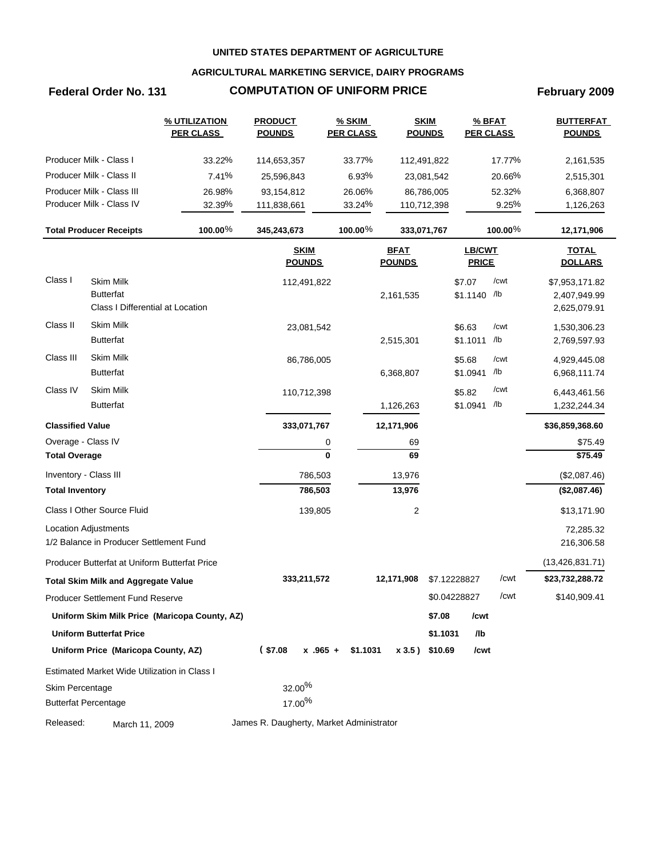## **AGRICULTURAL MARKETING SERVICE, DAIRY PROGRAMS**

# **Federal Order No. 131 COMPUTATION OF UNIFORM PRICE February 2009**

|                         |                                               | % UTILIZATION<br><b>PER CLASS</b>             | <b>PRODUCT</b><br><b>POUNDS</b>          | % SKIM<br><b>PER CLASS</b> |                              | <b>SKIM</b><br><b>POUNDS</b> | % BFAT<br><b>PER CLASS</b>    |            | <b>BUTTERFAT</b><br><b>POUNDS</b> |
|-------------------------|-----------------------------------------------|-----------------------------------------------|------------------------------------------|----------------------------|------------------------------|------------------------------|-------------------------------|------------|-----------------------------------|
|                         | Producer Milk - Class I                       | 33.22%                                        | 114,653,357                              | 33.77%                     | 112,491,822                  |                              |                               | 17.77%     | 2,161,535                         |
|                         | Producer Milk - Class II                      | 7.41%                                         | 25,596,843                               | 6.93%                      |                              | 23,081,542                   |                               | 20.66%     | 2,515,301                         |
|                         | Producer Milk - Class III                     | 26.98%                                        | 93,154,812                               | 26.06%                     |                              | 86,786,005                   |                               | 52.32%     | 6,368,807                         |
|                         | Producer Milk - Class IV                      | 32.39%                                        | 111,838,661                              | 33.24%                     | 110,712,398                  |                              |                               | 9.25%      | 1,126,263                         |
|                         | <b>Total Producer Receipts</b>                | 100.00 $%$                                    | 345,243,673                              | $100.00\%$                 | 333,071,767                  |                              |                               | $100.00\%$ | 12,171,906                        |
|                         |                                               |                                               | <b>SKIM</b><br><b>POUNDS</b>             |                            | <b>BFAT</b><br><b>POUNDS</b> |                              | <b>LB/CWT</b><br><b>PRICE</b> |            | <b>TOTAL</b><br><b>DOLLARS</b>    |
| Class I                 | Skim Milk                                     |                                               | 112,491,822                              |                            |                              |                              | \$7.07                        | /cwt       | \$7,953,171.82                    |
|                         | <b>Butterfat</b>                              |                                               |                                          |                            | 2,161,535                    |                              | \$1.1140 /lb                  |            | 2,407,949.99                      |
|                         | Class I Differential at Location              |                                               |                                          |                            |                              |                              |                               |            | 2,625,079.91                      |
| Class II                | <b>Skim Milk</b>                              |                                               | 23,081,542                               |                            |                              |                              | \$6.63                        | /cwt       | 1,530,306.23                      |
|                         | <b>Butterfat</b>                              |                                               |                                          |                            | 2,515,301                    |                              | \$1.1011                      | /lb        | 2,769,597.93                      |
| Class III               | Skim Milk                                     |                                               | 86,786,005                               |                            |                              |                              | \$5.68                        | /cwt       | 4,929,445.08                      |
|                         | <b>Butterfat</b>                              |                                               |                                          |                            | 6,368,807                    |                              | \$1.0941                      | /lb        | 6,968,111.74                      |
| Class IV                | Skim Milk                                     |                                               | 110,712,398                              |                            |                              |                              | \$5.82                        | /cwt       | 6,443,461.56                      |
|                         | <b>Butterfat</b>                              |                                               |                                          |                            | 1,126,263                    |                              | \$1.0941                      | /lb        | 1,232,244.34                      |
| <b>Classified Value</b> |                                               |                                               | 333,071,767                              |                            | 12,171,906                   |                              |                               |            | \$36,859,368.60                   |
| Overage - Class IV      |                                               |                                               |                                          | 0                          | 69                           |                              |                               |            | \$75.49                           |
| <b>Total Overage</b>    |                                               |                                               |                                          | $\bf{0}$                   | 69                           |                              |                               |            | \$75.49                           |
| Inventory - Class III   |                                               |                                               | 786,503                                  |                            | 13,976                       |                              |                               |            | (\$2,087.46)                      |
| <b>Total Inventory</b>  |                                               |                                               | 786,503                                  |                            | 13,976                       |                              |                               |            | (\$2,087.46)                      |
|                         | Class I Other Source Fluid                    |                                               | 139,805                                  |                            | 2                            |                              |                               |            | \$13,171.90                       |
|                         | <b>Location Adjustments</b>                   |                                               |                                          |                            |                              |                              |                               |            | 72,285.32                         |
|                         | 1/2 Balance in Producer Settlement Fund       |                                               |                                          |                            |                              |                              |                               |            | 216,306.58                        |
|                         | Producer Butterfat at Uniform Butterfat Price |                                               |                                          |                            |                              |                              |                               |            | (13, 426, 831.71)                 |
|                         | <b>Total Skim Milk and Aggregate Value</b>    |                                               | 333,211,572                              |                            | 12,171,908                   | \$7.12228827                 |                               | /cwt       | \$23,732,288.72                   |
|                         | Producer Settlement Fund Reserve              |                                               |                                          |                            |                              | \$0.04228827                 |                               | /cwt       | \$140,909.41                      |
|                         |                                               | Uniform Skim Milk Price (Maricopa County, AZ) |                                          |                            |                              | \$7.08                       | /cwt                          |            |                                   |
|                         | <b>Uniform Butterfat Price</b>                |                                               |                                          |                            |                              | \$1.1031                     | /lb                           |            |                                   |
|                         | Uniform Price (Maricopa County, AZ)           |                                               | (S7.08)                                  | $x$ .965 + \$1.1031        | x 3.5) \$10.69               |                              | /cwt                          |            |                                   |
|                         | Estimated Market Wide Utilization in Class I  |                                               |                                          |                            |                              |                              |                               |            |                                   |
| Skim Percentage         |                                               |                                               | $32.00\%$                                |                            |                              |                              |                               |            |                                   |
|                         | <b>Butterfat Percentage</b>                   |                                               | $17.00\%$                                |                            |                              |                              |                               |            |                                   |
| Released:               | March 11, 2009                                |                                               | James R. Daugherty, Market Administrator |                            |                              |                              |                               |            |                                   |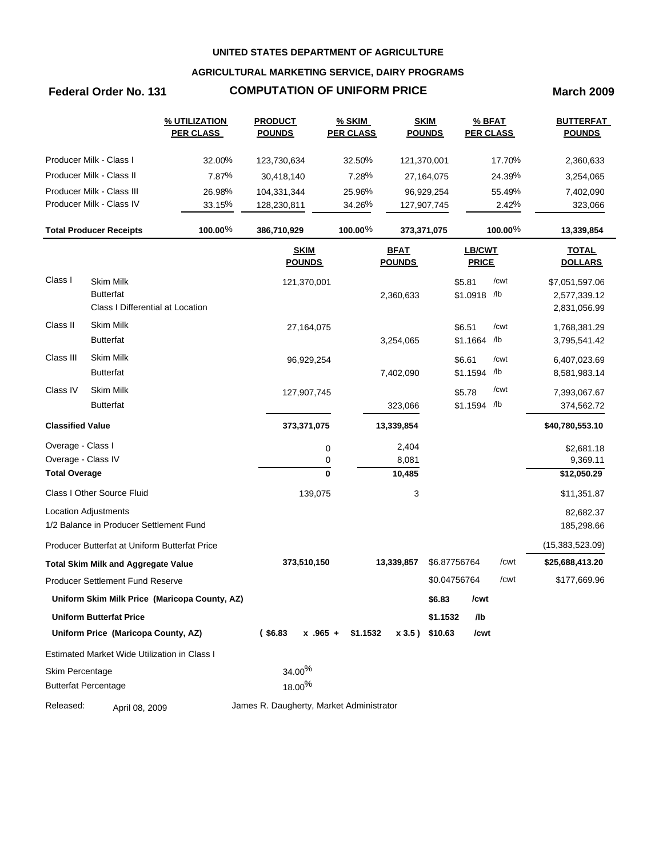## **AGRICULTURAL MARKETING SERVICE, DAIRY PROGRAMS**

## **Federal Order No. 131 COMPUTATION OF UNIFORM PRICE March 2009**

|                         |                                               | % UTILIZATION<br><b>PER CLASS</b>             | <b>PRODUCT</b><br><b>POUNDS</b>          | % SKIM<br><b>PER CLASS</b> |                              | <b>SKIM</b><br><b>POUNDS</b> |                        | % BFAT<br><b>PER CLASS</b> | <b>BUTTERFAT</b><br><b>POUNDS</b> |
|-------------------------|-----------------------------------------------|-----------------------------------------------|------------------------------------------|----------------------------|------------------------------|------------------------------|------------------------|----------------------------|-----------------------------------|
|                         | Producer Milk - Class I                       | 32.00%                                        | 123,730,634                              | 32.50%                     |                              | 121,370,001                  |                        | 17.70%                     | 2,360,633                         |
|                         | Producer Milk - Class II                      | 7.87%                                         | 30,418,140                               | 7.28%                      |                              | 27,164,075                   |                        | 24.39%                     | 3,254,065                         |
|                         | Producer Milk - Class III                     | 26.98%                                        | 104,331,344                              | 25.96%                     |                              | 96,929,254                   |                        | 55.49%                     | 7,402,090                         |
|                         | Producer Milk - Class IV                      | 33.15%                                        | 128,230,811                              | 34.26%                     |                              | 127,907,745                  |                        | 2.42%                      | 323,066                           |
|                         | <b>Total Producer Receipts</b>                | 100.00%                                       | 386,710,929                              | 100.00 $%$                 |                              | 373,371,075                  |                        | 100.00 $%$                 | 13,339,854                        |
|                         |                                               |                                               | <b>SKIM</b><br><b>POUNDS</b>             |                            | <b>BFAT</b><br><b>POUNDS</b> |                              | LB/CWT<br><b>PRICE</b> |                            | <b>TOTAL</b><br><b>DOLLARS</b>    |
| Class I                 | <b>Skim Milk</b>                              |                                               | 121,370,001                              |                            |                              |                              | \$5.81                 | /cwt                       | \$7,051,597.06                    |
|                         | <b>Butterfat</b>                              |                                               |                                          |                            | 2,360,633                    |                              | \$1.0918 /lb           |                            | 2,577,339.12                      |
|                         | Class I Differential at Location              |                                               |                                          |                            |                              |                              |                        |                            | 2,831,056.99                      |
| Class II                | <b>Skim Milk</b>                              |                                               | 27,164,075                               |                            |                              |                              | \$6.51                 | /cwt                       | 1,768,381.29                      |
|                         | <b>Butterfat</b>                              |                                               |                                          |                            | 3,254,065                    |                              | \$1.1664 /lb           |                            | 3,795,541.42                      |
| Class III               | <b>Skim Milk</b>                              |                                               | 96,929,254                               |                            |                              |                              | \$6.61                 | /cwt                       | 6,407,023.69                      |
|                         | <b>Butterfat</b>                              |                                               |                                          |                            | 7,402,090                    |                              | \$1.1594 /lb           |                            | 8,581,983.14                      |
| Class IV                | <b>Skim Milk</b>                              |                                               | 127,907,745                              |                            |                              |                              | \$5.78                 | /cwt                       | 7,393,067.67                      |
|                         | <b>Butterfat</b>                              |                                               |                                          |                            | 323,066                      |                              | \$1.1594 /lb           |                            | 374,562.72                        |
| <b>Classified Value</b> |                                               |                                               | 373,371,075                              |                            | 13,339,854                   |                              |                        |                            | \$40,780,553.10                   |
| Overage - Class I       |                                               |                                               |                                          | 0                          | 2,404                        |                              |                        |                            | \$2,681.18                        |
| Overage - Class IV      |                                               |                                               |                                          | 0                          | 8,081                        |                              |                        |                            | 9,369.11                          |
| <b>Total Overage</b>    |                                               |                                               |                                          | $\mathbf 0$                | 10,485                       |                              |                        |                            | \$12,050.29                       |
|                         | Class I Other Source Fluid                    |                                               | 139,075                                  |                            | 3                            |                              |                        |                            | \$11,351.87                       |
|                         | <b>Location Adjustments</b>                   |                                               |                                          |                            |                              |                              |                        |                            | 82,682.37                         |
|                         | 1/2 Balance in Producer Settlement Fund       |                                               |                                          |                            |                              |                              |                        |                            | 185,298.66                        |
|                         | Producer Butterfat at Uniform Butterfat Price |                                               |                                          |                            |                              |                              |                        |                            | (15,383,523.09)                   |
|                         | <b>Total Skim Milk and Aggregate Value</b>    |                                               | 373,510,150                              |                            | 13,339,857                   | \$6.87756764                 |                        | /cwt                       | \$25,688,413.20                   |
|                         | Producer Settlement Fund Reserve              |                                               |                                          |                            |                              | \$0.04756764                 |                        | /cwt                       | \$177,669.96                      |
|                         |                                               | Uniform Skim Milk Price (Maricopa County, AZ) |                                          |                            |                              | \$6.83                       | /cwt                   |                            |                                   |
|                         | <b>Uniform Butterfat Price</b>                |                                               |                                          |                            |                              | \$1.1532                     | /lb                    |                            |                                   |
|                         | Uniform Price (Maricopa County, AZ)           |                                               | $($ \$6.83                               | $x .965 +$<br>\$1.1532     |                              | x 3.5) \$10.63               | /cwt                   |                            |                                   |
|                         | Estimated Market Wide Utilization in Class I  |                                               |                                          |                            |                              |                              |                        |                            |                                   |
| Skim Percentage         |                                               |                                               | 34.00%                                   |                            |                              |                              |                        |                            |                                   |
|                         | <b>Butterfat Percentage</b>                   |                                               | 18.00%                                   |                            |                              |                              |                        |                            |                                   |
| Released:               | April 08, 2009                                |                                               | James R. Daugherty, Market Administrator |                            |                              |                              |                        |                            |                                   |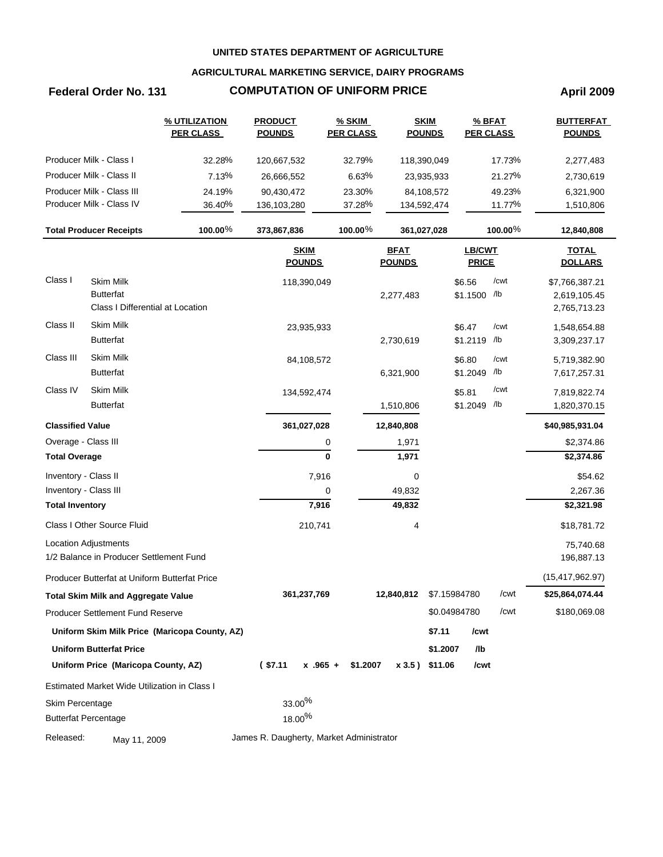## **AGRICULTURAL MARKETING SERVICE, DAIRY PROGRAMS**

# **Federal Order No. 131 COMPUTATION OF UNIFORM PRICE April 2009**

|                             |                                               | <b>% UTILIZATION</b><br><b>PER CLASS</b>      | <b>PRODUCT</b><br><b>POUNDS</b>          | % SKIM<br><b>PER CLASS</b> | <b>SKIM</b><br><b>POUNDS</b> |              | % BFAT                 | <b>PER CLASS</b> | <b>BUTTERFAT</b><br><b>POUNDS</b> |
|-----------------------------|-----------------------------------------------|-----------------------------------------------|------------------------------------------|----------------------------|------------------------------|--------------|------------------------|------------------|-----------------------------------|
|                             | Producer Milk - Class I                       | 32.28%                                        | 120,667,532                              | 32.79%                     | 118,390,049                  |              |                        | 17.73%           | 2,277,483                         |
|                             | Producer Milk - Class II                      | 7.13%                                         | 26,666,552                               | 6.63%                      | 23,935,933                   |              |                        | 21.27%           | 2,730,619                         |
|                             | Producer Milk - Class III                     | 24.19%                                        | 90,430,472                               | 23.30%                     | 84,108,572                   |              |                        | 49.23%           | 6,321,900                         |
|                             | Producer Milk - Class IV                      | 36.40%                                        | 136,103,280                              | 37.28%                     | 134,592,474                  |              |                        | 11.77%           | 1,510,806                         |
|                             | <b>Total Producer Receipts</b>                | 100.00%                                       | 373,867,836                              | 100.00%                    | 361,027,028                  |              |                        | 100.00%          | 12,840,808                        |
|                             |                                               |                                               | <b>SKIM</b><br><b>POUNDS</b>             |                            | <b>BFAT</b><br><b>POUNDS</b> |              | LB/CWT<br><b>PRICE</b> |                  | <b>TOTAL</b><br><b>DOLLARS</b>    |
| Class I                     | Skim Milk                                     |                                               | 118,390,049                              |                            |                              | \$6.56       |                        | /cwt             | \$7,766,387.21                    |
|                             | <b>Butterfat</b>                              |                                               |                                          |                            | 2,277,483                    | \$1.1500 /lb |                        |                  | 2,619,105.45                      |
|                             | Class I Differential at Location              |                                               |                                          |                            |                              |              |                        |                  | 2,765,713.23                      |
| Class II                    | <b>Skim Milk</b>                              |                                               | 23,935,933                               |                            |                              | \$6.47       |                        | /cwt             | 1,548,654.88                      |
|                             | <b>Butterfat</b>                              |                                               |                                          |                            | 2,730,619                    | \$1.2119     |                        | /lb              | 3,309,237.17                      |
| Class III                   | <b>Skim Milk</b>                              |                                               | 84,108,572                               |                            |                              | \$6.80       |                        | /cwt             | 5,719,382.90                      |
|                             | <b>Butterfat</b>                              |                                               |                                          |                            | 6,321,900                    | \$1.2049     |                        | /lb              | 7,617,257.31                      |
| Class IV                    | <b>Skim Milk</b>                              |                                               | 134,592,474                              |                            |                              | \$5.81       |                        | /cwt             | 7,819,822.74                      |
|                             | <b>Butterfat</b>                              |                                               |                                          |                            | 1,510,806                    | \$1.2049 /lb |                        |                  | 1,820,370.15                      |
| <b>Classified Value</b>     |                                               |                                               | 361,027,028                              |                            | 12,840,808                   |              |                        |                  | \$40,985,931.04                   |
| Overage - Class III         |                                               |                                               |                                          | 0                          | 1,971                        |              |                        |                  | \$2,374.86                        |
| <b>Total Overage</b>        |                                               |                                               |                                          | $\mathbf 0$                | 1,971                        |              |                        |                  | \$2,374.86                        |
| Inventory - Class II        |                                               |                                               |                                          | 7,916                      | 0                            |              |                        |                  | \$54.62                           |
| Inventory - Class III       |                                               |                                               |                                          | 0                          | 49,832                       |              |                        |                  | 2,267.36                          |
| <b>Total Inventory</b>      |                                               |                                               |                                          | 7,916                      | 49,832                       |              |                        |                  | \$2,321.98                        |
|                             | Class I Other Source Fluid                    |                                               | 210,741                                  |                            | 4                            |              |                        |                  | \$18,781.72                       |
| <b>Location Adjustments</b> |                                               |                                               |                                          |                            |                              |              |                        |                  | 75,740.68                         |
|                             | 1/2 Balance in Producer Settlement Fund       |                                               |                                          |                            |                              |              |                        |                  | 196,887.13                        |
|                             | Producer Butterfat at Uniform Butterfat Price |                                               |                                          |                            |                              |              |                        |                  | (15, 417, 962.97)                 |
|                             | <b>Total Skim Milk and Aggregate Value</b>    |                                               | 361,237,769                              |                            | 12,840,812                   | \$7.15984780 |                        | /cwt             | \$25,864,074.44                   |
|                             | <b>Producer Settlement Fund Reserve</b>       |                                               |                                          |                            |                              | \$0.04984780 |                        | /cwt             | \$180,069.08                      |
|                             |                                               | Uniform Skim Milk Price (Maricopa County, AZ) |                                          |                            |                              | \$7.11       | /cwt                   |                  |                                   |
|                             | <b>Uniform Butterfat Price</b>                |                                               |                                          |                            |                              | \$1.2007     | /lb                    |                  |                                   |
|                             | Uniform Price (Maricopa County, AZ)           |                                               | $($ \$7.11                               | $x + 0.965 +$<br>\$1.2007  | x 3.5) \$11.06               |              | /cwt                   |                  |                                   |
|                             | Estimated Market Wide Utilization in Class I  |                                               |                                          |                            |                              |              |                        |                  |                                   |
| Skim Percentage             |                                               |                                               | 33.00%                                   |                            |                              |              |                        |                  |                                   |
| <b>Butterfat Percentage</b> |                                               |                                               | 18.00 <sup>%</sup>                       |                            |                              |              |                        |                  |                                   |
| Released:                   | May 11, 2009                                  |                                               | James R. Daugherty, Market Administrator |                            |                              |              |                        |                  |                                   |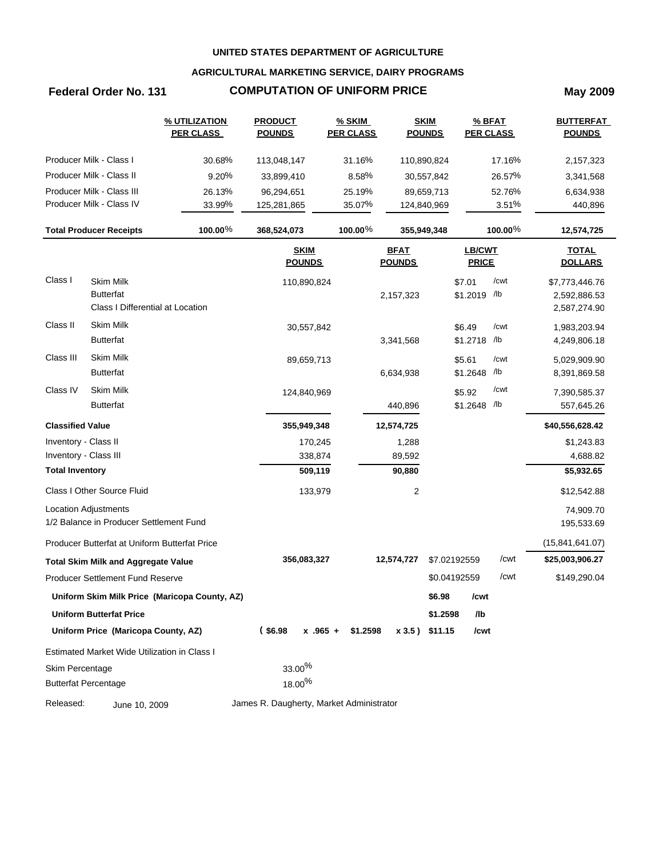## **AGRICULTURAL MARKETING SERVICE, DAIRY PROGRAMS**

# **Federal Order No. 131 COMPUTATION OF UNIFORM PRICE May 2009**

| Producer Milk - Class I<br>30.68%<br>31.16%<br>17.16%<br>113,048,147<br>110,890,824<br>2,157,323<br>Producer Milk - Class II<br>9.20%<br>8.58%<br>26.57%<br>33,899,410<br>30,557,842<br>3,341,568<br>Producer Milk - Class III<br>26.13%<br>25.19%<br>52.76%<br>96,294,651<br>89,659,713<br>6,634,938<br>Producer Milk - Class IV<br>33.99%<br>35.07%<br>3.51%<br>440,896<br>125,281,865<br>124,840,969<br>100.00%<br>$100.00\%$<br>100.00 $%$<br><b>Total Producer Receipts</b><br>368,524,073<br>355,949,348<br>12,574,725<br><b>LB/CWT</b><br><b>SKIM</b><br><b>BFAT</b><br><b>TOTAL</b><br><b>POUNDS</b><br><b>POUNDS</b><br><b>PRICE</b><br><b>DOLLARS</b><br><b>Skim Milk</b><br>/cwt<br>\$7.01<br>110,890,824<br>\$7,773,446.76<br>\$1.2019 /lb<br><b>Butterfat</b><br>2,157,323<br>2,592,886.53<br>Class I Differential at Location<br>2,587,274.90<br><b>Skim Milk</b><br>/cwt<br>\$6.49<br>30,557,842<br>1,983,203.94<br>\$1.2718 /lb<br><b>Butterfat</b><br>3,341,568<br>4,249,806.18<br>Class III<br>Skim Milk<br>/cwt<br>\$5.61<br>89,659,713<br>5,029,909.90<br>/lb<br><b>Butterfat</b><br>\$1.2648<br>6,634,938<br>8,391,869.58<br>Skim Milk<br>/cwt<br>\$5.92<br>124,840,969<br>7,390,585.37<br>\$1.2648 /lb<br><b>Butterfat</b><br>440,896<br>557,645.26<br><b>Classified Value</b><br>355,949,348<br>12,574,725<br>\$40,556,628.42<br>Inventory - Class II<br>170,245<br>\$1,243.83<br>1,288<br>Inventory - Class III<br>338,874<br>89,592<br>4,688.82<br>509,119<br>90,880<br>\$5,932.65<br><b>Total Inventory</b><br>Class I Other Source Fluid<br>133,979<br>2<br>\$12,542.88<br>Location Adjustments<br>74,909.70<br>1/2 Balance in Producer Settlement Fund<br>195,533.69<br>(15, 841, 641.07)<br>Producer Butterfat at Uniform Butterfat Price<br>/cwt<br>\$7.02192559<br>356,083,327<br>12,574,727<br>\$25,003,906.27<br><b>Total Skim Milk and Aggregate Value</b><br>\$0.04192559<br>/cwt<br>\$149,290.04<br><b>Producer Settlement Fund Reserve</b><br>\$6.98<br>Uniform Skim Milk Price (Maricopa County, AZ)<br>/cwt<br><b>Uniform Butterfat Price</b><br>\$1.2598<br>/lb<br>$($ \$6.98<br>\$1.2598<br>Uniform Price (Maricopa County, AZ)<br>$x$ .965 +<br>$x 3.5$ ) \$11.15<br>/cwt<br>Estimated Market Wide Utilization in Class I<br>$33.00\%$<br>Skim Percentage<br>$18.00\%$<br><b>Butterfat Percentage</b><br>James R. Daugherty, Market Administrator<br>June 10, 2009 |           | % UTILIZATION<br><b>PER CLASS</b> | <b>PRODUCT</b><br><b>POUNDS</b> | % SKIM<br><b>PER CLASS</b> | <b>SKIM</b><br><b>POUNDS</b> | % BFAT<br><b>PER CLASS</b> | <b>BUTTERFAT</b><br><b>POUNDS</b> |
|--------------------------------------------------------------------------------------------------------------------------------------------------------------------------------------------------------------------------------------------------------------------------------------------------------------------------------------------------------------------------------------------------------------------------------------------------------------------------------------------------------------------------------------------------------------------------------------------------------------------------------------------------------------------------------------------------------------------------------------------------------------------------------------------------------------------------------------------------------------------------------------------------------------------------------------------------------------------------------------------------------------------------------------------------------------------------------------------------------------------------------------------------------------------------------------------------------------------------------------------------------------------------------------------------------------------------------------------------------------------------------------------------------------------------------------------------------------------------------------------------------------------------------------------------------------------------------------------------------------------------------------------------------------------------------------------------------------------------------------------------------------------------------------------------------------------------------------------------------------------------------------------------------------------------------------------------------------------------------------------------------------------------------------------------------------------------------------------------------------------------------------------------------------------------------------------------------------------------------------------------------------------------------------------------------------------------------------------------------------------------------------------------------------|-----------|-----------------------------------|---------------------------------|----------------------------|------------------------------|----------------------------|-----------------------------------|
|                                                                                                                                                                                                                                                                                                                                                                                                                                                                                                                                                                                                                                                                                                                                                                                                                                                                                                                                                                                                                                                                                                                                                                                                                                                                                                                                                                                                                                                                                                                                                                                                                                                                                                                                                                                                                                                                                                                                                                                                                                                                                                                                                                                                                                                                                                                                                                                                              |           |                                   |                                 |                            |                              |                            |                                   |
|                                                                                                                                                                                                                                                                                                                                                                                                                                                                                                                                                                                                                                                                                                                                                                                                                                                                                                                                                                                                                                                                                                                                                                                                                                                                                                                                                                                                                                                                                                                                                                                                                                                                                                                                                                                                                                                                                                                                                                                                                                                                                                                                                                                                                                                                                                                                                                                                              |           |                                   |                                 |                            |                              |                            |                                   |
|                                                                                                                                                                                                                                                                                                                                                                                                                                                                                                                                                                                                                                                                                                                                                                                                                                                                                                                                                                                                                                                                                                                                                                                                                                                                                                                                                                                                                                                                                                                                                                                                                                                                                                                                                                                                                                                                                                                                                                                                                                                                                                                                                                                                                                                                                                                                                                                                              |           |                                   |                                 |                            |                              |                            |                                   |
|                                                                                                                                                                                                                                                                                                                                                                                                                                                                                                                                                                                                                                                                                                                                                                                                                                                                                                                                                                                                                                                                                                                                                                                                                                                                                                                                                                                                                                                                                                                                                                                                                                                                                                                                                                                                                                                                                                                                                                                                                                                                                                                                                                                                                                                                                                                                                                                                              |           |                                   |                                 |                            |                              |                            |                                   |
|                                                                                                                                                                                                                                                                                                                                                                                                                                                                                                                                                                                                                                                                                                                                                                                                                                                                                                                                                                                                                                                                                                                                                                                                                                                                                                                                                                                                                                                                                                                                                                                                                                                                                                                                                                                                                                                                                                                                                                                                                                                                                                                                                                                                                                                                                                                                                                                                              |           |                                   |                                 |                            |                              |                            |                                   |
|                                                                                                                                                                                                                                                                                                                                                                                                                                                                                                                                                                                                                                                                                                                                                                                                                                                                                                                                                                                                                                                                                                                                                                                                                                                                                                                                                                                                                                                                                                                                                                                                                                                                                                                                                                                                                                                                                                                                                                                                                                                                                                                                                                                                                                                                                                                                                                                                              |           |                                   |                                 |                            |                              |                            |                                   |
|                                                                                                                                                                                                                                                                                                                                                                                                                                                                                                                                                                                                                                                                                                                                                                                                                                                                                                                                                                                                                                                                                                                                                                                                                                                                                                                                                                                                                                                                                                                                                                                                                                                                                                                                                                                                                                                                                                                                                                                                                                                                                                                                                                                                                                                                                                                                                                                                              | Class I   |                                   |                                 |                            |                              |                            |                                   |
|                                                                                                                                                                                                                                                                                                                                                                                                                                                                                                                                                                                                                                                                                                                                                                                                                                                                                                                                                                                                                                                                                                                                                                                                                                                                                                                                                                                                                                                                                                                                                                                                                                                                                                                                                                                                                                                                                                                                                                                                                                                                                                                                                                                                                                                                                                                                                                                                              |           |                                   |                                 |                            |                              |                            |                                   |
|                                                                                                                                                                                                                                                                                                                                                                                                                                                                                                                                                                                                                                                                                                                                                                                                                                                                                                                                                                                                                                                                                                                                                                                                                                                                                                                                                                                                                                                                                                                                                                                                                                                                                                                                                                                                                                                                                                                                                                                                                                                                                                                                                                                                                                                                                                                                                                                                              |           |                                   |                                 |                            |                              |                            |                                   |
|                                                                                                                                                                                                                                                                                                                                                                                                                                                                                                                                                                                                                                                                                                                                                                                                                                                                                                                                                                                                                                                                                                                                                                                                                                                                                                                                                                                                                                                                                                                                                                                                                                                                                                                                                                                                                                                                                                                                                                                                                                                                                                                                                                                                                                                                                                                                                                                                              | Class II  |                                   |                                 |                            |                              |                            |                                   |
|                                                                                                                                                                                                                                                                                                                                                                                                                                                                                                                                                                                                                                                                                                                                                                                                                                                                                                                                                                                                                                                                                                                                                                                                                                                                                                                                                                                                                                                                                                                                                                                                                                                                                                                                                                                                                                                                                                                                                                                                                                                                                                                                                                                                                                                                                                                                                                                                              |           |                                   |                                 |                            |                              |                            |                                   |
|                                                                                                                                                                                                                                                                                                                                                                                                                                                                                                                                                                                                                                                                                                                                                                                                                                                                                                                                                                                                                                                                                                                                                                                                                                                                                                                                                                                                                                                                                                                                                                                                                                                                                                                                                                                                                                                                                                                                                                                                                                                                                                                                                                                                                                                                                                                                                                                                              |           |                                   |                                 |                            |                              |                            |                                   |
|                                                                                                                                                                                                                                                                                                                                                                                                                                                                                                                                                                                                                                                                                                                                                                                                                                                                                                                                                                                                                                                                                                                                                                                                                                                                                                                                                                                                                                                                                                                                                                                                                                                                                                                                                                                                                                                                                                                                                                                                                                                                                                                                                                                                                                                                                                                                                                                                              |           |                                   |                                 |                            |                              |                            |                                   |
|                                                                                                                                                                                                                                                                                                                                                                                                                                                                                                                                                                                                                                                                                                                                                                                                                                                                                                                                                                                                                                                                                                                                                                                                                                                                                                                                                                                                                                                                                                                                                                                                                                                                                                                                                                                                                                                                                                                                                                                                                                                                                                                                                                                                                                                                                                                                                                                                              | Class IV  |                                   |                                 |                            |                              |                            |                                   |
|                                                                                                                                                                                                                                                                                                                                                                                                                                                                                                                                                                                                                                                                                                                                                                                                                                                                                                                                                                                                                                                                                                                                                                                                                                                                                                                                                                                                                                                                                                                                                                                                                                                                                                                                                                                                                                                                                                                                                                                                                                                                                                                                                                                                                                                                                                                                                                                                              |           |                                   |                                 |                            |                              |                            |                                   |
|                                                                                                                                                                                                                                                                                                                                                                                                                                                                                                                                                                                                                                                                                                                                                                                                                                                                                                                                                                                                                                                                                                                                                                                                                                                                                                                                                                                                                                                                                                                                                                                                                                                                                                                                                                                                                                                                                                                                                                                                                                                                                                                                                                                                                                                                                                                                                                                                              |           |                                   |                                 |                            |                              |                            |                                   |
|                                                                                                                                                                                                                                                                                                                                                                                                                                                                                                                                                                                                                                                                                                                                                                                                                                                                                                                                                                                                                                                                                                                                                                                                                                                                                                                                                                                                                                                                                                                                                                                                                                                                                                                                                                                                                                                                                                                                                                                                                                                                                                                                                                                                                                                                                                                                                                                                              |           |                                   |                                 |                            |                              |                            |                                   |
|                                                                                                                                                                                                                                                                                                                                                                                                                                                                                                                                                                                                                                                                                                                                                                                                                                                                                                                                                                                                                                                                                                                                                                                                                                                                                                                                                                                                                                                                                                                                                                                                                                                                                                                                                                                                                                                                                                                                                                                                                                                                                                                                                                                                                                                                                                                                                                                                              |           |                                   |                                 |                            |                              |                            |                                   |
|                                                                                                                                                                                                                                                                                                                                                                                                                                                                                                                                                                                                                                                                                                                                                                                                                                                                                                                                                                                                                                                                                                                                                                                                                                                                                                                                                                                                                                                                                                                                                                                                                                                                                                                                                                                                                                                                                                                                                                                                                                                                                                                                                                                                                                                                                                                                                                                                              |           |                                   |                                 |                            |                              |                            |                                   |
|                                                                                                                                                                                                                                                                                                                                                                                                                                                                                                                                                                                                                                                                                                                                                                                                                                                                                                                                                                                                                                                                                                                                                                                                                                                                                                                                                                                                                                                                                                                                                                                                                                                                                                                                                                                                                                                                                                                                                                                                                                                                                                                                                                                                                                                                                                                                                                                                              |           |                                   |                                 |                            |                              |                            |                                   |
|                                                                                                                                                                                                                                                                                                                                                                                                                                                                                                                                                                                                                                                                                                                                                                                                                                                                                                                                                                                                                                                                                                                                                                                                                                                                                                                                                                                                                                                                                                                                                                                                                                                                                                                                                                                                                                                                                                                                                                                                                                                                                                                                                                                                                                                                                                                                                                                                              |           |                                   |                                 |                            |                              |                            |                                   |
|                                                                                                                                                                                                                                                                                                                                                                                                                                                                                                                                                                                                                                                                                                                                                                                                                                                                                                                                                                                                                                                                                                                                                                                                                                                                                                                                                                                                                                                                                                                                                                                                                                                                                                                                                                                                                                                                                                                                                                                                                                                                                                                                                                                                                                                                                                                                                                                                              |           |                                   |                                 |                            |                              |                            |                                   |
|                                                                                                                                                                                                                                                                                                                                                                                                                                                                                                                                                                                                                                                                                                                                                                                                                                                                                                                                                                                                                                                                                                                                                                                                                                                                                                                                                                                                                                                                                                                                                                                                                                                                                                                                                                                                                                                                                                                                                                                                                                                                                                                                                                                                                                                                                                                                                                                                              |           |                                   |                                 |                            |                              |                            |                                   |
|                                                                                                                                                                                                                                                                                                                                                                                                                                                                                                                                                                                                                                                                                                                                                                                                                                                                                                                                                                                                                                                                                                                                                                                                                                                                                                                                                                                                                                                                                                                                                                                                                                                                                                                                                                                                                                                                                                                                                                                                                                                                                                                                                                                                                                                                                                                                                                                                              |           |                                   |                                 |                            |                              |                            |                                   |
|                                                                                                                                                                                                                                                                                                                                                                                                                                                                                                                                                                                                                                                                                                                                                                                                                                                                                                                                                                                                                                                                                                                                                                                                                                                                                                                                                                                                                                                                                                                                                                                                                                                                                                                                                                                                                                                                                                                                                                                                                                                                                                                                                                                                                                                                                                                                                                                                              |           |                                   |                                 |                            |                              |                            |                                   |
|                                                                                                                                                                                                                                                                                                                                                                                                                                                                                                                                                                                                                                                                                                                                                                                                                                                                                                                                                                                                                                                                                                                                                                                                                                                                                                                                                                                                                                                                                                                                                                                                                                                                                                                                                                                                                                                                                                                                                                                                                                                                                                                                                                                                                                                                                                                                                                                                              |           |                                   |                                 |                            |                              |                            |                                   |
|                                                                                                                                                                                                                                                                                                                                                                                                                                                                                                                                                                                                                                                                                                                                                                                                                                                                                                                                                                                                                                                                                                                                                                                                                                                                                                                                                                                                                                                                                                                                                                                                                                                                                                                                                                                                                                                                                                                                                                                                                                                                                                                                                                                                                                                                                                                                                                                                              |           |                                   |                                 |                            |                              |                            |                                   |
|                                                                                                                                                                                                                                                                                                                                                                                                                                                                                                                                                                                                                                                                                                                                                                                                                                                                                                                                                                                                                                                                                                                                                                                                                                                                                                                                                                                                                                                                                                                                                                                                                                                                                                                                                                                                                                                                                                                                                                                                                                                                                                                                                                                                                                                                                                                                                                                                              |           |                                   |                                 |                            |                              |                            |                                   |
|                                                                                                                                                                                                                                                                                                                                                                                                                                                                                                                                                                                                                                                                                                                                                                                                                                                                                                                                                                                                                                                                                                                                                                                                                                                                                                                                                                                                                                                                                                                                                                                                                                                                                                                                                                                                                                                                                                                                                                                                                                                                                                                                                                                                                                                                                                                                                                                                              |           |                                   |                                 |                            |                              |                            |                                   |
|                                                                                                                                                                                                                                                                                                                                                                                                                                                                                                                                                                                                                                                                                                                                                                                                                                                                                                                                                                                                                                                                                                                                                                                                                                                                                                                                                                                                                                                                                                                                                                                                                                                                                                                                                                                                                                                                                                                                                                                                                                                                                                                                                                                                                                                                                                                                                                                                              |           |                                   |                                 |                            |                              |                            |                                   |
|                                                                                                                                                                                                                                                                                                                                                                                                                                                                                                                                                                                                                                                                                                                                                                                                                                                                                                                                                                                                                                                                                                                                                                                                                                                                                                                                                                                                                                                                                                                                                                                                                                                                                                                                                                                                                                                                                                                                                                                                                                                                                                                                                                                                                                                                                                                                                                                                              |           |                                   |                                 |                            |                              |                            |                                   |
|                                                                                                                                                                                                                                                                                                                                                                                                                                                                                                                                                                                                                                                                                                                                                                                                                                                                                                                                                                                                                                                                                                                                                                                                                                                                                                                                                                                                                                                                                                                                                                                                                                                                                                                                                                                                                                                                                                                                                                                                                                                                                                                                                                                                                                                                                                                                                                                                              | Released: |                                   |                                 |                            |                              |                            |                                   |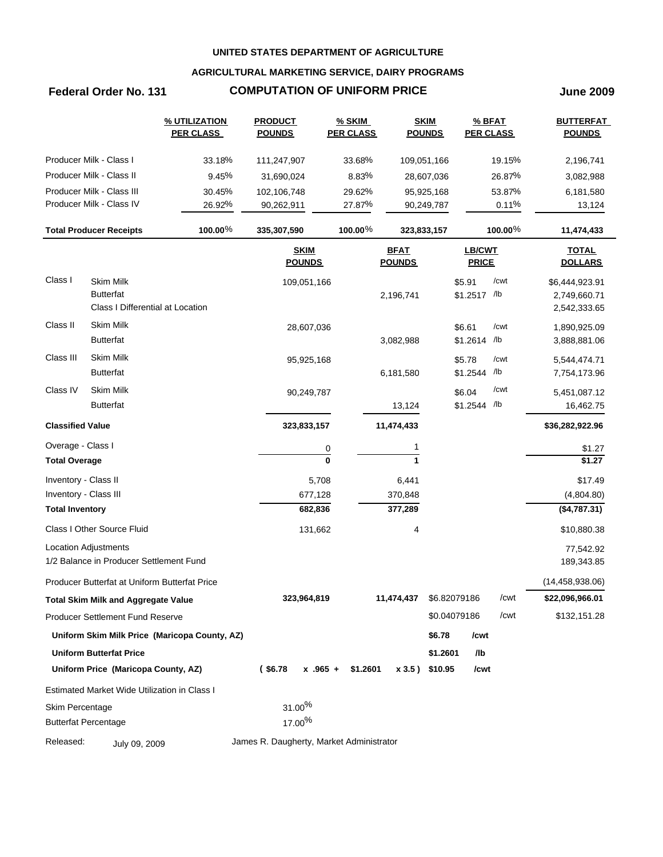## **AGRICULTURAL MARKETING SERVICE, DAIRY PROGRAMS**

## **Federal Order No. 131 COMPUTATION OF UNIFORM PRICE June 2009**

|                         |                                               | % UTILIZATION<br><b>PER CLASS</b>             | <b>PRODUCT</b><br><b>POUNDS</b>          | % SKIM<br><b>PER CLASS</b> |                              | <b>SKIM</b><br><b>POUNDS</b> | $%$ BFAT<br><b>PER CLASS</b> |         | <b>BUTTERFAT</b><br><b>POUNDS</b> |
|-------------------------|-----------------------------------------------|-----------------------------------------------|------------------------------------------|----------------------------|------------------------------|------------------------------|------------------------------|---------|-----------------------------------|
|                         | Producer Milk - Class I                       | 33.18%                                        | 111,247,907                              | 33.68%                     | 109,051,166                  |                              |                              | 19.15%  | 2,196,741                         |
|                         | Producer Milk - Class II                      | 9.45%                                         | 31,690,024                               | 8.83%                      |                              | 28,607,036                   |                              | 26.87%  | 3,082,988                         |
|                         | Producer Milk - Class III                     | 30.45%                                        | 102,106,748                              | 29.62%                     |                              | 95,925,168                   |                              | 53.87%  | 6,181,580                         |
|                         | Producer Milk - Class IV                      | 26.92%                                        | 90,262,911                               | 27.87%                     |                              | 90,249,787                   |                              | 0.11%   | 13,124                            |
|                         | <b>Total Producer Receipts</b>                | 100.00%                                       | 335,307,590                              | 100.00%                    | 323,833,157                  |                              |                              | 100.00% | 11,474,433                        |
|                         |                                               |                                               | <b>SKIM</b><br><b>POUNDS</b>             |                            | <b>BFAT</b><br><b>POUNDS</b> |                              | LB/CWT<br><b>PRICE</b>       |         | <b>TOTAL</b><br><b>DOLLARS</b>    |
| Class I                 | <b>Skim Milk</b>                              |                                               | 109,051,166                              |                            |                              |                              | \$5.91                       | /cwt    | \$6,444,923.91                    |
|                         | <b>Butterfat</b>                              |                                               |                                          |                            | 2,196,741                    |                              | \$1.2517 /lb                 |         | 2,749,660.71                      |
|                         | Class I Differential at Location              |                                               |                                          |                            |                              |                              |                              |         | 2,542,333.65                      |
| Class II                | <b>Skim Milk</b>                              |                                               | 28,607,036                               |                            |                              |                              | \$6.61                       | /cwt    | 1,890,925.09                      |
|                         | <b>Butterfat</b>                              |                                               |                                          |                            | 3,082,988                    |                              | \$1.2614                     | /lb     | 3,888,881.06                      |
| Class III               | <b>Skim Milk</b>                              |                                               | 95,925,168                               |                            |                              |                              | \$5.78                       | /cwt    | 5,544,474.71                      |
|                         | <b>Butterfat</b>                              |                                               |                                          |                            | 6,181,580                    |                              | \$1.2544                     | /lb     | 7,754,173.96                      |
| Class IV                | <b>Skim Milk</b>                              |                                               | 90,249,787                               |                            |                              |                              | \$6.04                       | /cwt    | 5,451,087.12                      |
|                         | <b>Butterfat</b>                              |                                               |                                          |                            | 13,124                       |                              | \$1.2544 /lb                 |         | 16,462.75                         |
| <b>Classified Value</b> |                                               |                                               | 323,833,157                              |                            | 11,474,433                   |                              |                              |         | \$36,282,922.96                   |
| Overage - Class I       |                                               |                                               |                                          | $\overline{0}$             |                              |                              |                              |         | \$1.27                            |
| <b>Total Overage</b>    |                                               |                                               |                                          | $\mathbf{0}$               | 1                            |                              |                              |         | \$1.27                            |
| Inventory - Class II    |                                               |                                               | 5,708                                    |                            | 6,441                        |                              |                              |         | \$17.49                           |
| Inventory - Class III   |                                               |                                               | 677,128                                  |                            | 370,848                      |                              |                              |         | (4,804.80)                        |
| <b>Total Inventory</b>  |                                               |                                               | 682,836                                  |                            | 377,289                      |                              |                              |         | (\$4,787.31)                      |
|                         | Class I Other Source Fluid                    |                                               | 131,662                                  |                            | 4                            |                              |                              |         | \$10,880.38                       |
|                         | Location Adjustments                          |                                               |                                          |                            |                              |                              |                              |         | 77,542.92                         |
|                         | 1/2 Balance in Producer Settlement Fund       |                                               |                                          |                            |                              |                              |                              |         | 189,343.85                        |
|                         | Producer Butterfat at Uniform Butterfat Price |                                               |                                          |                            |                              |                              |                              |         | (14, 458, 938.06)                 |
|                         | Total Skim Milk and Aggregate Value           |                                               | 323,964,819                              |                            | 11,474,437                   | \$6.82079186                 |                              | /cwt    | \$22,096,966.01                   |
|                         | <b>Producer Settlement Fund Reserve</b>       |                                               |                                          |                            |                              | \$0.04079186                 |                              | /cwt    | \$132,151.28                      |
|                         |                                               | Uniform Skim Milk Price (Maricopa County, AZ) |                                          |                            |                              | \$6.78                       | /cwt                         |         |                                   |
|                         | <b>Uniform Butterfat Price</b>                |                                               |                                          |                            |                              | \$1.2601                     | /lb                          |         |                                   |
|                         | Uniform Price (Maricopa County, AZ)           |                                               | $($ \$6.78                               | $x$ .965 +<br>\$1.2601     |                              | x 3.5) \$10.95               | /cwt                         |         |                                   |
|                         | Estimated Market Wide Utilization in Class I  |                                               |                                          |                            |                              |                              |                              |         |                                   |
| Skim Percentage         |                                               |                                               | 31.00%                                   |                            |                              |                              |                              |         |                                   |
|                         | <b>Butterfat Percentage</b>                   |                                               | 17.00%                                   |                            |                              |                              |                              |         |                                   |
| Released:               | July 09, 2009                                 |                                               | James R. Daugherty, Market Administrator |                            |                              |                              |                              |         |                                   |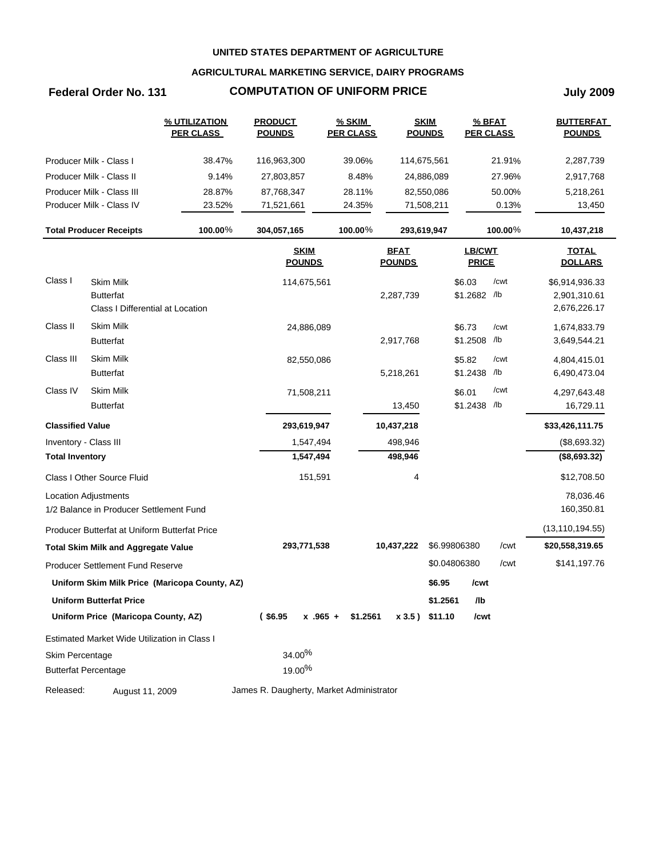## **AGRICULTURAL MARKETING SERVICE, DAIRY PROGRAMS**

# **Federal Order No. 131 COMPUTATION OF UNIFORM PRICE July 2009**

|                         |                                                                          | % UTILIZATION<br><b>PER CLASS</b>             | <b>PRODUCT</b><br><b>POUNDS</b>          | <b>% SKIM</b><br><b>PER CLASS</b> |                              | <b>SKIM</b><br><b>POUNDS</b> | <b>PER CLASS</b>       | % BFAT  | <b>BUTTERFAT</b><br><b>POUNDS</b>              |
|-------------------------|--------------------------------------------------------------------------|-----------------------------------------------|------------------------------------------|-----------------------------------|------------------------------|------------------------------|------------------------|---------|------------------------------------------------|
|                         | Producer Milk - Class I                                                  | 38.47%                                        | 116,963,300                              | 39.06%                            |                              | 114,675,561                  |                        | 21.91%  | 2,287,739                                      |
|                         | Producer Milk - Class II                                                 | 9.14%                                         | 27,803,857                               | 8.48%                             |                              | 24,886,089                   |                        | 27.96%  | 2,917,768                                      |
|                         | Producer Milk - Class III                                                | 28.87%                                        | 87,768,347                               | 28.11%                            |                              | 82,550,086                   |                        | 50.00%  | 5,218,261                                      |
|                         | Producer Milk - Class IV                                                 | 23.52%                                        | 71,521,661                               | 24.35%                            |                              | 71,508,211                   |                        | 0.13%   | 13,450                                         |
|                         | <b>Total Producer Receipts</b>                                           | 100.00%                                       | 304,057,165                              | 100.00%                           |                              | 293,619,947                  |                        | 100.00% | 10,437,218                                     |
|                         |                                                                          |                                               | <b>SKIM</b><br><b>POUNDS</b>             |                                   | <b>BFAT</b><br><b>POUNDS</b> |                              | LB/CWT<br><b>PRICE</b> |         | <b>TOTAL</b><br><b>DOLLARS</b>                 |
| Class I                 | <b>Skim Milk</b><br><b>Butterfat</b><br>Class I Differential at Location |                                               | 114,675,561                              |                                   | 2,287,739                    |                              | \$6.03<br>\$1.2682 /lb | /cwt    | \$6,914,936.33<br>2,901,310.61<br>2,676,226.17 |
| Class II                | <b>Skim Milk</b><br><b>Butterfat</b>                                     |                                               | 24,886,089                               |                                   | 2,917,768                    |                              | \$6.73<br>\$1.2508 /lb | /cwt    | 1,674,833.79<br>3,649,544.21                   |
| Class III               | Skim Milk<br><b>Butterfat</b>                                            |                                               | 82,550,086                               |                                   | 5,218,261                    |                              | \$5.82<br>\$1.2438 /lb | /cwt    | 4,804,415.01<br>6,490,473.04                   |
| Class IV                | Skim Milk<br><b>Butterfat</b>                                            |                                               | 71,508,211                               |                                   | 13,450                       |                              | \$6.01<br>\$1.2438 /lb | /cwt    | 4,297,643.48<br>16,729.11                      |
| <b>Classified Value</b> |                                                                          |                                               | 293,619,947                              |                                   | 10,437,218                   |                              |                        |         | \$33,426,111.75                                |
| Inventory - Class III   |                                                                          |                                               | 1,547,494                                |                                   | 498,946                      |                              |                        |         | (\$8,693.32)                                   |
| <b>Total Inventory</b>  |                                                                          |                                               | 1,547,494                                |                                   | 498,946                      |                              |                        |         | (\$8,693.32)                                   |
|                         | Class I Other Source Fluid                                               |                                               | 151,591                                  |                                   | 4                            |                              |                        |         | \$12,708.50                                    |
|                         | Location Adjustments<br>1/2 Balance in Producer Settlement Fund          |                                               |                                          |                                   |                              |                              |                        |         | 78,036.46<br>160,350.81                        |
|                         | Producer Butterfat at Uniform Butterfat Price                            |                                               |                                          |                                   |                              |                              |                        |         | (13, 110, 194.55)                              |
|                         | <b>Total Skim Milk and Aggregate Value</b>                               |                                               | 293,771,538                              |                                   | 10,437,222                   |                              | \$6.99806380           | /cwt    | \$20,558,319.65                                |
|                         | <b>Producer Settlement Fund Reserve</b>                                  |                                               |                                          |                                   |                              |                              | \$0.04806380           | /cwt    | \$141,197.76                                   |
|                         |                                                                          | Uniform Skim Milk Price (Maricopa County, AZ) |                                          |                                   |                              | \$6.95                       | /cwt                   |         |                                                |
|                         | Uniform Butterfat Price                                                  |                                               |                                          |                                   |                              | \$1.2561                     | /lb                    |         |                                                |
|                         | Uniform Price (Maricopa County, AZ)                                      |                                               | $($ \$6.95<br>$x$ .965 +                 | \$1.2561                          |                              | $x 3.5$ ) \$11.10            | /cwt                   |         |                                                |
|                         | Estimated Market Wide Utilization in Class I                             |                                               |                                          |                                   |                              |                              |                        |         |                                                |
| Skim Percentage         |                                                                          |                                               | 34.00%                                   |                                   |                              |                              |                        |         |                                                |
|                         | <b>Butterfat Percentage</b>                                              |                                               | 19.00%                                   |                                   |                              |                              |                        |         |                                                |
| Released:               | August 11, 2009                                                          |                                               | James R. Daugherty, Market Administrator |                                   |                              |                              |                        |         |                                                |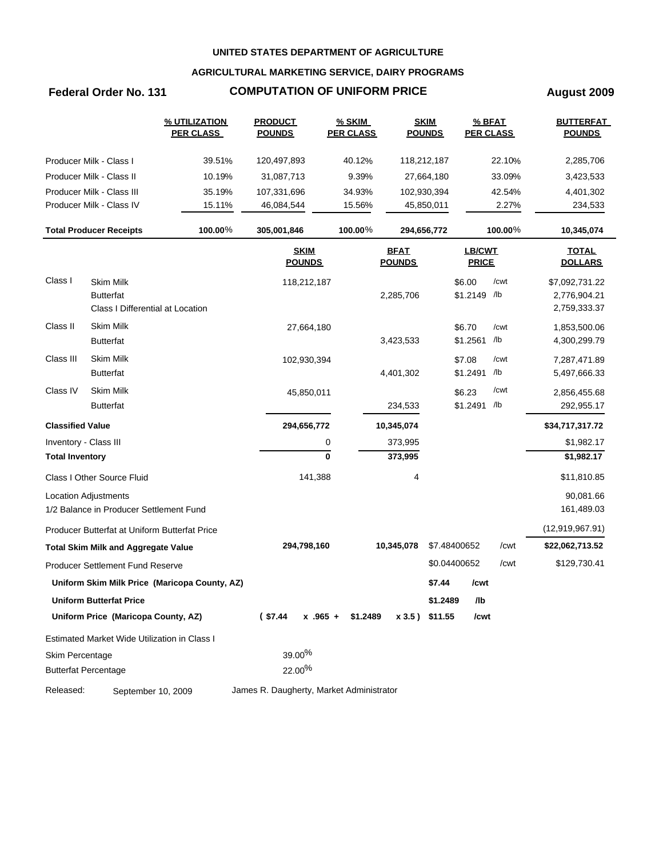## **AGRICULTURAL MARKETING SERVICE, DAIRY PROGRAMS**

# **Federal Order No. 131 COMPUTATION OF UNIFORM PRICE August 2009**

|                         |                                               | % UTILIZATION<br><b>PER CLASS</b>             | <b>PRODUCT</b><br><b>POUNDS</b>          | <b>% SKIM</b><br><b>PER CLASS</b> |                              | <b>SKIM</b><br><b>POUNDS</b> |                        | % BFAT<br><b>PER CLASS</b> | <b>BUTTERFAT</b><br><b>POUNDS</b> |
|-------------------------|-----------------------------------------------|-----------------------------------------------|------------------------------------------|-----------------------------------|------------------------------|------------------------------|------------------------|----------------------------|-----------------------------------|
|                         | Producer Milk - Class I                       | 39.51%                                        | 120,497,893                              | 40.12%                            |                              | 118,212,187                  |                        | 22.10%                     | 2,285,706                         |
|                         | Producer Milk - Class II                      | 10.19%                                        | 31,087,713                               | 9.39%                             |                              | 27,664,180                   |                        | 33.09%                     | 3,423,533                         |
|                         | Producer Milk - Class III                     | 35.19%                                        | 107,331,696                              | 34.93%                            |                              | 102,930,394                  |                        | 42.54%                     | 4,401,302                         |
|                         | Producer Milk - Class IV                      | 15.11%                                        | 46,084,544                               | 15.56%                            |                              | 45,850,011                   |                        | 2.27%                      | 234,533                           |
|                         | <b>Total Producer Receipts</b>                | 100.00%                                       | 305,001,846                              | 100.00%                           |                              | 294,656,772                  |                        | 100.00%                    | 10,345,074                        |
|                         |                                               |                                               | <b>SKIM</b><br><b>POUNDS</b>             |                                   | <b>BFAT</b><br><b>POUNDS</b> |                              | LB/CWT<br><b>PRICE</b> |                            | <b>TOTAL</b><br><b>DOLLARS</b>    |
| Class I                 | <b>Skim Milk</b>                              |                                               | 118,212,187                              |                                   |                              |                              | \$6.00                 | /cwt                       | \$7,092,731.22                    |
|                         | <b>Butterfat</b>                              |                                               |                                          |                                   | 2,285,706                    |                              | \$1.2149 /lb           |                            | 2,776,904.21                      |
|                         | Class I Differential at Location              |                                               |                                          |                                   |                              |                              |                        |                            | 2,759,333.37                      |
| Class II                | Skim Milk                                     |                                               | 27,664,180                               |                                   |                              |                              | \$6.70                 | /cwt                       | 1,853,500.06                      |
|                         | <b>Butterfat</b>                              |                                               |                                          |                                   | 3,423,533                    |                              | \$1.2561               | /lb                        | 4,300,299.79                      |
| Class III               | <b>Skim Milk</b>                              |                                               | 102,930,394                              |                                   |                              |                              | \$7.08                 | /cwt                       | 7,287,471.89                      |
|                         | <b>Butterfat</b>                              |                                               |                                          |                                   | 4,401,302                    |                              | \$1.2491               | /lb                        | 5,497,666.33                      |
| Class IV                | <b>Skim Milk</b>                              |                                               | 45,850,011                               |                                   |                              |                              | \$6.23                 | /cwt                       | 2,856,455.68                      |
|                         | <b>Butterfat</b>                              |                                               |                                          |                                   | 234,533                      |                              | \$1.2491 /b            |                            | 292,955.17                        |
| <b>Classified Value</b> |                                               |                                               | 294,656,772                              |                                   | 10,345,074                   |                              |                        |                            | \$34,717,317.72                   |
| Inventory - Class III   |                                               |                                               |                                          | 0                                 | 373,995                      |                              |                        |                            | \$1,982.17                        |
| <b>Total Inventory</b>  |                                               |                                               |                                          | $\bf{0}$                          | 373,995                      |                              |                        |                            | \$1,982.17                        |
|                         | Class I Other Source Fluid                    |                                               | 141,388                                  |                                   | 4                            |                              |                        |                            | \$11,810.85                       |
|                         | <b>Location Adjustments</b>                   |                                               |                                          |                                   |                              |                              |                        |                            | 90,081.66                         |
|                         | 1/2 Balance in Producer Settlement Fund       |                                               |                                          |                                   |                              |                              |                        |                            | 161,489.03                        |
|                         | Producer Butterfat at Uniform Butterfat Price |                                               |                                          |                                   |                              |                              |                        |                            | (12,919,967.91)                   |
|                         | <b>Total Skim Milk and Aggregate Value</b>    |                                               | 294,798,160                              |                                   | 10,345,078                   |                              | \$7.48400652           | /cwt                       | \$22,062,713.52                   |
|                         | Producer Settlement Fund Reserve              |                                               |                                          |                                   |                              |                              | \$0.04400652           | /cwt                       | \$129,730.41                      |
|                         |                                               | Uniform Skim Milk Price (Maricopa County, AZ) |                                          |                                   |                              | \$7.44                       | /cwt                   |                            |                                   |
|                         | <b>Uniform Butterfat Price</b>                |                                               |                                          |                                   |                              | \$1.2489                     | /lb                    |                            |                                   |
|                         | Uniform Price (Maricopa County, AZ)           |                                               | $(*57.44)$<br>$x - 965 +$                | \$1.2489                          | x 3.5) \$11.55               |                              | /cwt                   |                            |                                   |
|                         | Estimated Market Wide Utilization in Class I  |                                               |                                          |                                   |                              |                              |                        |                            |                                   |
| Skim Percentage         |                                               |                                               | 39.00%                                   |                                   |                              |                              |                        |                            |                                   |
|                         | <b>Butterfat Percentage</b>                   |                                               | 22.00%                                   |                                   |                              |                              |                        |                            |                                   |
| Released:               | September 10, 2009                            |                                               | James R. Daugherty, Market Administrator |                                   |                              |                              |                        |                            |                                   |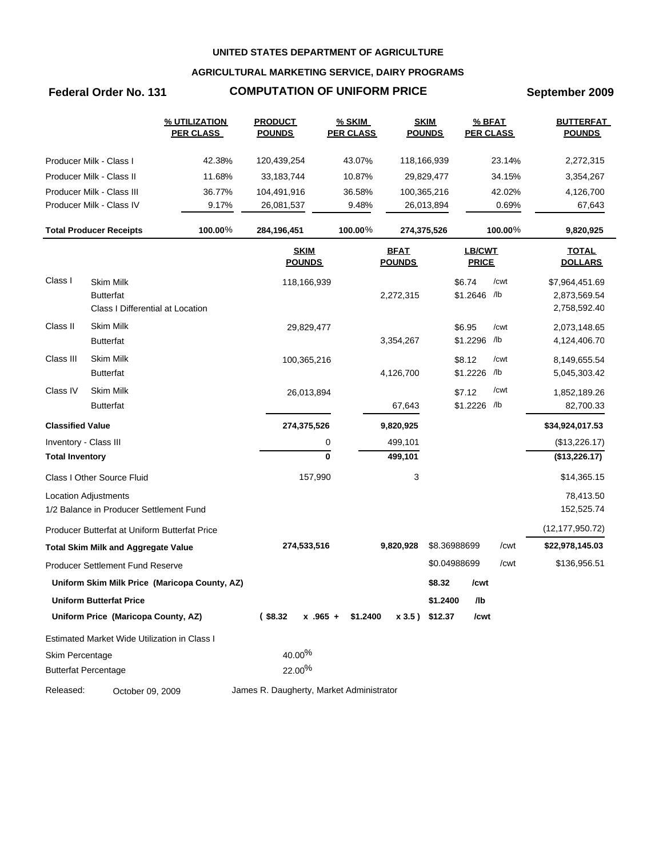## **AGRICULTURAL MARKETING SERVICE, DAIRY PROGRAMS**

# **Federal Order No. 131 COMPUTATION OF UNIFORM PRICE September 2009**

|                         |                                                      | % UTILIZATION<br><b>PER CLASS</b>             | <b>PRODUCT</b><br><b>POUNDS</b>          | <b>% SKIM</b><br><b>PER CLASS</b> |                              | <b>SKIM</b><br><b>POUNDS</b> | <b>PER CLASS</b>              | % BFAT     | <b>BUTTERFAT</b><br><b>POUNDS</b> |
|-------------------------|------------------------------------------------------|-----------------------------------------------|------------------------------------------|-----------------------------------|------------------------------|------------------------------|-------------------------------|------------|-----------------------------------|
|                         | Producer Milk - Class I                              | 42.38%                                        | 120,439,254                              | 43.07%                            |                              | 118,166,939                  |                               | 23.14%     | 2,272,315                         |
|                         | Producer Milk - Class II                             | 11.68%                                        | 33,183,744                               | 10.87%                            |                              | 29,829,477                   |                               | 34.15%     | 3,354,267                         |
|                         | Producer Milk - Class III                            | 36.77%                                        | 104,491,916                              | 36.58%                            |                              | 100,365,216                  |                               | 42.02%     | 4,126,700                         |
|                         | Producer Milk - Class IV                             | 9.17%                                         | 26,081,537                               | 9.48%                             |                              | 26,013,894                   |                               | 0.69%      | 67,643                            |
|                         | <b>Total Producer Receipts</b>                       | 100.00%                                       | 284,196,451                              | 100.00%                           |                              | 274,375,526                  |                               | $100.00\%$ | 9,820,925                         |
|                         |                                                      |                                               | <b>SKIM</b><br><b>POUNDS</b>             |                                   | <b>BFAT</b><br><b>POUNDS</b> |                              | <b>LB/CWT</b><br><b>PRICE</b> |            | <b>TOTAL</b><br><b>DOLLARS</b>    |
| Class I                 | Skim Milk                                            |                                               | 118,166,939                              |                                   |                              |                              | \$6.74                        | /cwt       | \$7,964,451.69                    |
|                         | <b>Butterfat</b><br>Class I Differential at Location |                                               |                                          |                                   | 2,272,315                    |                              | \$1.2646 /b                   |            | 2,873,569.54<br>2,758,592.40      |
| Class II                | <b>Skim Milk</b>                                     |                                               | 29,829,477                               |                                   |                              |                              | \$6.95                        | /cwt       | 2,073,148.65                      |
|                         | <b>Butterfat</b>                                     |                                               |                                          |                                   | 3,354,267                    |                              | \$1.2296 /lb                  |            | 4,124,406.70                      |
| Class III               | Skim Milk                                            |                                               | 100,365,216                              |                                   |                              |                              | \$8.12                        | /cwt       | 8,149,655.54                      |
|                         | <b>Butterfat</b>                                     |                                               |                                          |                                   | 4,126,700                    |                              | \$1.2226                      | /lb        | 5,045,303.42                      |
| Class IV                | <b>Skim Milk</b>                                     |                                               | 26,013,894                               |                                   |                              |                              | \$7.12                        | /cwt       | 1,852,189.26                      |
|                         | <b>Butterfat</b>                                     |                                               |                                          |                                   | 67,643                       |                              | \$1.2226 /lb                  |            | 82,700.33                         |
| <b>Classified Value</b> |                                                      |                                               | 274,375,526                              |                                   | 9,820,925                    |                              |                               |            | \$34,924,017.53                   |
| Inventory - Class III   |                                                      |                                               |                                          | 0                                 | 499,101                      |                              |                               |            | (\$13,226.17)                     |
| <b>Total Inventory</b>  |                                                      |                                               |                                          | 0                                 | 499,101                      |                              |                               |            | (\$13,226.17)                     |
|                         | Class I Other Source Fluid                           |                                               | 157,990                                  |                                   | 3                            |                              |                               |            | \$14,365.15                       |
|                         | <b>Location Adjustments</b>                          |                                               |                                          |                                   |                              |                              |                               |            | 78,413.50                         |
|                         | 1/2 Balance in Producer Settlement Fund              |                                               |                                          |                                   |                              |                              |                               |            | 152,525.74                        |
|                         | Producer Butterfat at Uniform Butterfat Price        |                                               |                                          |                                   |                              |                              |                               |            | (12, 177, 950.72)                 |
|                         | <b>Total Skim Milk and Aggregate Value</b>           |                                               | 274,533,516                              |                                   | 9,820,928                    |                              | \$8.36988699                  | /cwt       | \$22,978,145.03                   |
|                         | Producer Settlement Fund Reserve                     |                                               |                                          |                                   |                              |                              | \$0.04988699                  | /cwt       | \$136,956.51                      |
|                         |                                                      | Uniform Skim Milk Price (Maricopa County, AZ) |                                          |                                   |                              | \$8.32                       | /cwt                          |            |                                   |
|                         | Uniform Butterfat Price                              |                                               |                                          |                                   |                              | \$1.2400                     | /lb                           |            |                                   |
|                         | Uniform Price (Maricopa County, AZ)                  |                                               | $($ \$8.32                               | $x$ .965 + \$1.2400               |                              | x 3.5) \$12.37               | /cwt                          |            |                                   |
|                         | Estimated Market Wide Utilization in Class I         |                                               |                                          |                                   |                              |                              |                               |            |                                   |
| Skim Percentage         |                                                      |                                               | 40.00%                                   |                                   |                              |                              |                               |            |                                   |
|                         | <b>Butterfat Percentage</b>                          |                                               | 22.00%                                   |                                   |                              |                              |                               |            |                                   |
| Released:               | October 09, 2009                                     |                                               | James R. Daugherty, Market Administrator |                                   |                              |                              |                               |            |                                   |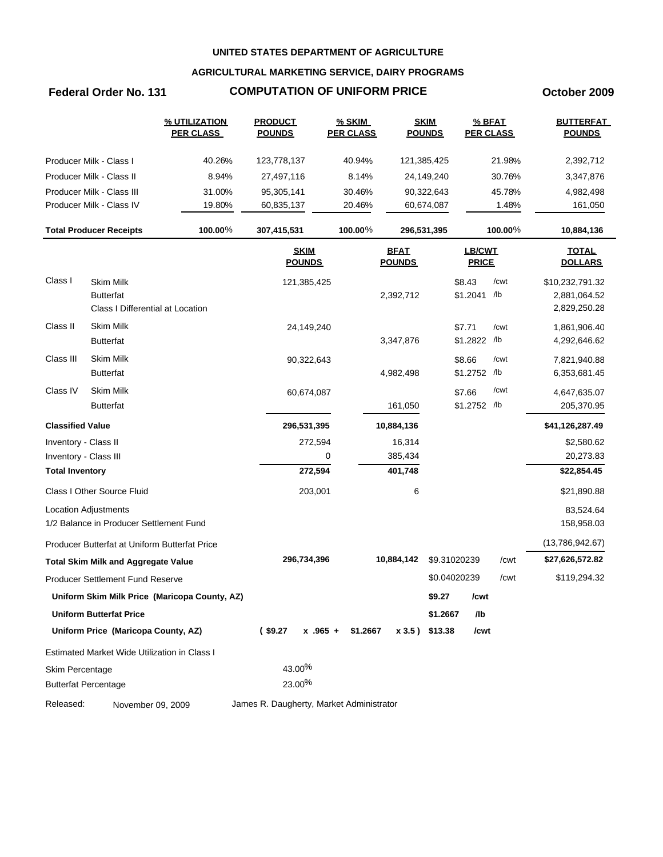## **AGRICULTURAL MARKETING SERVICE, DAIRY PROGRAMS**

## **Federal Order No. 131 COMPUTATION OF UNIFORM PRICE October 2009**

|                         |                                               | % UTILIZATION<br><b>PER CLASS</b>             | <b>PRODUCT</b><br><b>POUNDS</b>          | <b>% SKIM</b><br><b>PER CLASS</b> |                              | <b>SKIM</b><br><b>POUNDS</b> |                               | % BFAT<br><b>PER CLASS</b> | <b>BUTTERFAT</b><br><b>POUNDS</b> |
|-------------------------|-----------------------------------------------|-----------------------------------------------|------------------------------------------|-----------------------------------|------------------------------|------------------------------|-------------------------------|----------------------------|-----------------------------------|
|                         | Producer Milk - Class I                       | 40.26%                                        | 123,778,137                              | 40.94%                            |                              | 121,385,425                  |                               | 21.98%                     | 2,392,712                         |
|                         | Producer Milk - Class II                      | 8.94%                                         | 27,497,116                               | 8.14%                             |                              | 24,149,240                   |                               | 30.76%                     | 3,347,876                         |
|                         | Producer Milk - Class III                     | 31.00%                                        | 95,305,141                               | 30.46%                            |                              | 90,322,643                   |                               | 45.78%                     | 4,982,498                         |
|                         | Producer Milk - Class IV                      | 19.80%                                        | 60,835,137                               | 20.46%                            |                              | 60,674,087                   |                               | 1.48%                      | 161,050                           |
|                         | <b>Total Producer Receipts</b>                | 100.00%                                       | 307,415,531                              | 100.00%                           |                              | 296,531,395                  |                               | $100.00\%$                 | 10,884,136                        |
|                         |                                               |                                               | <b>SKIM</b><br><b>POUNDS</b>             |                                   | <b>BFAT</b><br><b>POUNDS</b> |                              | <b>LB/CWT</b><br><b>PRICE</b> |                            | <b>TOTAL</b><br><b>DOLLARS</b>    |
| Class I                 | <b>Skim Milk</b>                              |                                               | 121,385,425                              |                                   |                              |                              | \$8.43                        | /cwt                       | \$10,232,791.32                   |
|                         | <b>Butterfat</b>                              |                                               |                                          |                                   | 2,392,712                    |                              | \$1.2041 /b                   |                            | 2,881,064.52                      |
|                         | Class I Differential at Location              |                                               |                                          |                                   |                              |                              |                               |                            | 2,829,250.28                      |
| Class II                | <b>Skim Milk</b>                              |                                               | 24,149,240                               |                                   |                              |                              | \$7.71                        | /cwt                       | 1,861,906.40                      |
|                         | <b>Butterfat</b>                              |                                               |                                          |                                   | 3,347,876                    |                              | \$1.2822 /b                   |                            | 4,292,646.62                      |
| Class III               | Skim Milk                                     |                                               | 90,322,643                               |                                   |                              |                              | \$8.66                        | /cwt                       | 7,821,940.88                      |
|                         | <b>Butterfat</b>                              |                                               |                                          |                                   | 4,982,498                    |                              | \$1.2752 /lb                  |                            | 6,353,681.45                      |
| Class IV                | <b>Skim Milk</b>                              |                                               | 60,674,087                               |                                   |                              |                              | \$7.66                        | /cwt                       | 4,647,635.07                      |
|                         | <b>Butterfat</b>                              |                                               |                                          |                                   | 161,050                      |                              | \$1.2752 /lb                  |                            | 205,370.95                        |
| <b>Classified Value</b> |                                               |                                               | 296,531,395                              |                                   | 10,884,136                   |                              |                               |                            | \$41,126,287.49                   |
| Inventory - Class II    |                                               |                                               | 272,594                                  |                                   | 16,314                       |                              |                               |                            | \$2,580.62                        |
| Inventory - Class III   |                                               |                                               |                                          | 0                                 | 385,434                      |                              |                               |                            | 20,273.83                         |
| <b>Total Inventory</b>  |                                               |                                               | 272,594                                  |                                   | 401,748                      |                              |                               |                            | \$22,854.45                       |
|                         | Class I Other Source Fluid                    |                                               | 203,001                                  |                                   | 6                            |                              |                               |                            | \$21,890.88                       |
|                         | <b>Location Adjustments</b>                   |                                               |                                          |                                   |                              |                              |                               |                            | 83,524.64                         |
|                         | 1/2 Balance in Producer Settlement Fund       |                                               |                                          |                                   |                              |                              |                               |                            | 158,958.03                        |
|                         | Producer Butterfat at Uniform Butterfat Price |                                               |                                          |                                   |                              |                              |                               |                            | (13,786,942.67)                   |
|                         | <b>Total Skim Milk and Aggregate Value</b>    |                                               | 296,734,396                              |                                   | 10,884,142                   | \$9.31020239                 |                               | /cwt                       | \$27,626,572.82                   |
|                         | <b>Producer Settlement Fund Reserve</b>       |                                               |                                          |                                   |                              | \$0.04020239                 |                               | /cwt                       | \$119,294.32                      |
|                         |                                               | Uniform Skim Milk Price (Maricopa County, AZ) |                                          |                                   |                              | \$9.27                       | /cwt                          |                            |                                   |
|                         | <b>Uniform Butterfat Price</b>                |                                               |                                          |                                   |                              | \$1.2667                     | /lb                           |                            |                                   |
|                         | Uniform Price (Maricopa County, AZ)           |                                               | $($ \$9.27                               | $x$ .965 +<br>\$1.2667            |                              | x 3.5) \$13.38               | /cwt                          |                            |                                   |
|                         | Estimated Market Wide Utilization in Class I  |                                               |                                          |                                   |                              |                              |                               |                            |                                   |
| Skim Percentage         |                                               |                                               | 43.00%                                   |                                   |                              |                              |                               |                            |                                   |
|                         | <b>Butterfat Percentage</b>                   |                                               | 23.00%                                   |                                   |                              |                              |                               |                            |                                   |
| Released:               | November 09, 2009                             |                                               | James R. Daugherty, Market Administrator |                                   |                              |                              |                               |                            |                                   |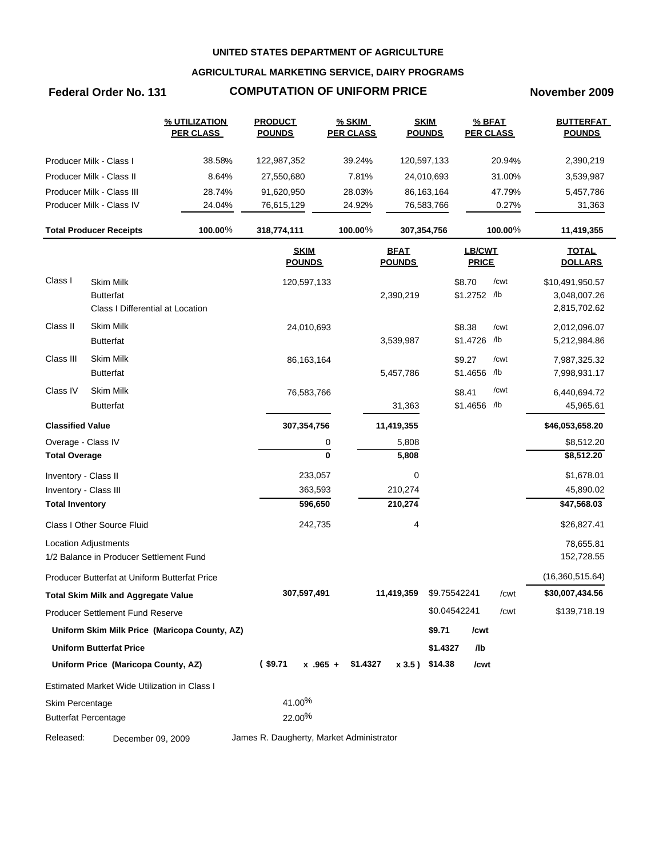## **AGRICULTURAL MARKETING SERVICE, DAIRY PROGRAMS**

## **Federal Order No. 131 COMPUTATION OF UNIFORM PRICE November 2009**

|                             |                                               | % UTILIZATION<br><b>PER CLASS</b>             | <b>PRODUCT</b><br><b>POUNDS</b>          |             | <b>% SKIM</b><br><b>PER CLASS</b> |                              | <b>SKIM</b><br><b>POUNDS</b> | % BFAT<br><b>PER CLASS</b> |         | <b>BUTTERFAT</b><br><b>POUNDS</b> |
|-----------------------------|-----------------------------------------------|-----------------------------------------------|------------------------------------------|-------------|-----------------------------------|------------------------------|------------------------------|----------------------------|---------|-----------------------------------|
|                             | Producer Milk - Class I                       | 38.58%                                        | 122,987,352                              |             | 39.24%                            | 120,597,133                  |                              |                            | 20.94%  | 2,390,219                         |
|                             | Producer Milk - Class II                      | 8.64%                                         | 27,550,680                               |             | 7.81%                             |                              | 24,010,693                   |                            | 31.00%  | 3,539,987                         |
|                             | Producer Milk - Class III                     | 28.74%                                        | 91,620,950                               |             | 28.03%                            |                              | 86,163,164                   |                            | 47.79%  | 5,457,786                         |
|                             | Producer Milk - Class IV                      | 24.04%                                        | 76,615,129                               |             | 24.92%                            |                              | 76,583,766                   |                            | 0.27%   | 31,363                            |
|                             | <b>Total Producer Receipts</b>                | 100.00%                                       | 318,774,111                              |             | 100.00%                           | 307,354,756                  |                              |                            | 100.00% | 11,419,355                        |
|                             |                                               |                                               | <b>SKIM</b><br><b>POUNDS</b>             |             |                                   | <b>BFAT</b><br><b>POUNDS</b> |                              | LB/CWT<br><b>PRICE</b>     |         | <b>TOTAL</b><br><b>DOLLARS</b>    |
| Class I                     | <b>Skim Milk</b>                              |                                               |                                          | 120,597,133 |                                   |                              |                              | \$8.70                     | /cwt    | \$10,491,950.57                   |
|                             | <b>Butterfat</b>                              |                                               |                                          |             |                                   | 2,390,219                    |                              | \$1.2752 /lb               |         | 3,048,007.26                      |
|                             | Class I Differential at Location              |                                               |                                          |             |                                   |                              |                              |                            |         | 2,815,702.62                      |
| Class II                    | Skim Milk                                     |                                               |                                          | 24,010,693  |                                   |                              |                              | \$8.38                     | /cwt    | 2,012,096.07                      |
|                             | <b>Butterfat</b>                              |                                               |                                          |             |                                   | 3,539,987                    |                              | \$1.4726 /lb               |         | 5,212,984.86                      |
| Class III                   | <b>Skim Milk</b>                              |                                               |                                          | 86,163,164  |                                   |                              |                              | \$9.27                     | /cwt    | 7,987,325.32                      |
|                             | <b>Butterfat</b>                              |                                               |                                          |             |                                   | 5,457,786                    |                              | \$1.4656 /lb               |         | 7,998,931.17                      |
| Class IV                    | <b>Skim Milk</b>                              |                                               |                                          | 76,583,766  |                                   |                              |                              | \$8.41                     | /cwt    | 6,440,694.72                      |
|                             | <b>Butterfat</b>                              |                                               |                                          |             |                                   | 31,363                       |                              | \$1.4656 /lb               |         | 45,965.61                         |
| <b>Classified Value</b>     |                                               |                                               | 307,354,756                              |             |                                   | 11,419,355                   |                              |                            |         | \$46,053,658.20                   |
| Overage - Class IV          |                                               |                                               |                                          | 0           |                                   | 5,808                        |                              |                            |         | \$8,512.20                        |
| <b>Total Overage</b>        |                                               |                                               |                                          | 0           |                                   | 5,808                        |                              |                            |         | \$8,512.20                        |
| Inventory - Class II        |                                               |                                               |                                          | 233,057     |                                   | 0                            |                              |                            |         | \$1,678.01                        |
| Inventory - Class III       |                                               |                                               |                                          | 363,593     |                                   | 210,274                      |                              |                            |         | 45,890.02                         |
| <b>Total Inventory</b>      |                                               |                                               |                                          | 596,650     |                                   | 210,274                      |                              |                            |         | \$47,568.03                       |
|                             | Class I Other Source Fluid                    |                                               |                                          | 242,735     |                                   | 4                            |                              |                            |         | \$26,827.41                       |
|                             | <b>Location Adjustments</b>                   |                                               |                                          |             |                                   |                              |                              |                            |         | 78,655.81                         |
|                             | 1/2 Balance in Producer Settlement Fund       |                                               |                                          |             |                                   |                              |                              |                            |         | 152,728.55                        |
|                             | Producer Butterfat at Uniform Butterfat Price |                                               |                                          |             |                                   |                              |                              |                            |         | (16,360,515.64)                   |
|                             | <b>Total Skim Milk and Aggregate Value</b>    |                                               | 307,597,491                              |             |                                   | 11,419,359                   | \$9.75542241                 |                            | /cwt    | \$30,007,434.56                   |
|                             | <b>Producer Settlement Fund Reserve</b>       |                                               |                                          |             |                                   |                              | \$0.04542241                 |                            | /cwt    | \$139,718.19                      |
|                             |                                               | Uniform Skim Milk Price (Maricopa County, AZ) |                                          |             |                                   |                              | \$9.71                       | /cwt                       |         |                                   |
|                             | <b>Uniform Butterfat Price</b>                |                                               |                                          |             |                                   |                              | \$1.4327                     | /lb                        |         |                                   |
|                             | Uniform Price (Maricopa County, AZ)           |                                               | $($ \$9.71                               |             | $x$ .965 + \$1.4327               |                              | x 3.5) \$14.38               | /cwt                       |         |                                   |
|                             | Estimated Market Wide Utilization in Class I  |                                               |                                          |             |                                   |                              |                              |                            |         |                                   |
| Skim Percentage             |                                               |                                               | 41.00%                                   |             |                                   |                              |                              |                            |         |                                   |
| <b>Butterfat Percentage</b> |                                               |                                               | 22.00%                                   |             |                                   |                              |                              |                            |         |                                   |
| Released:                   | December 09, 2009                             |                                               | James R. Daugherty, Market Administrator |             |                                   |                              |                              |                            |         |                                   |